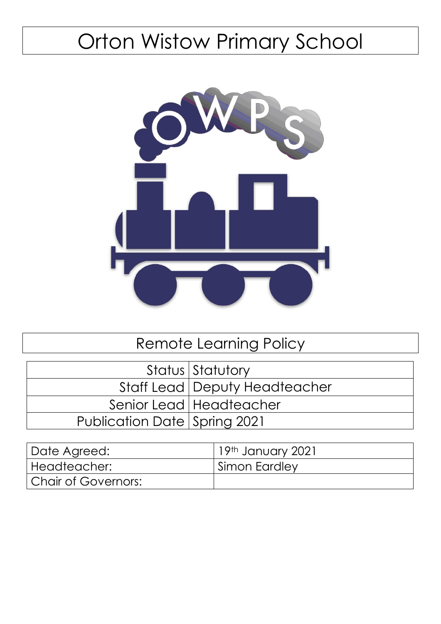# Orton Wistow Primary School



# Remote Learning Policy

|                              | Status Statutory                |
|------------------------------|---------------------------------|
|                              | Staff Lead   Deputy Headteacher |
|                              | Senior Lead   Headteacher       |
| Publication Date Spring 2021 |                                 |

| Date Agreed:          | 19th January 2021 |
|-----------------------|-------------------|
| Headteacher:          | Simon Eardley     |
| l Chair of Governors: |                   |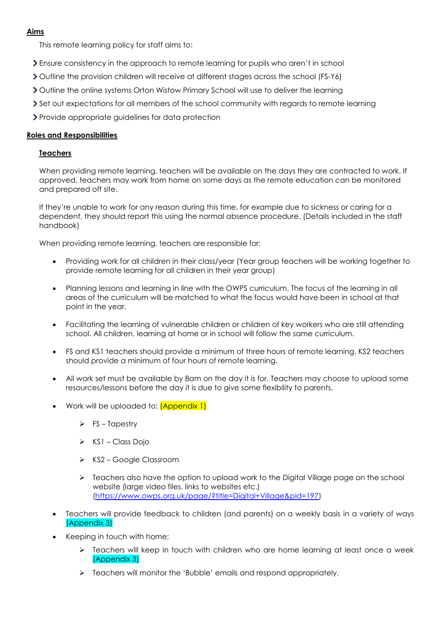#### **Aims**

This remote learning policy for staff aims to:

- Ensure consistency in the approach to remote learning for pupils who aren't in school
- Outline the provision children will receive at different stages across the school (FS-Y6)
- > Outline the online systems Orton Wistow Primary School will use to deliver the learning
- Set out expectations for all members of the school community with regards to remote learning

Provide appropriate guidelines for data protection

#### **Roles and Responsibilities**

#### **Teachers**

When providing remote learning, teachers will be available on the days they are contracted to work. If approved, teachers may work from home on some days as the remote education can be monitored and prepared off site.

If they're unable to work for any reason during this time, for example due to sickness or caring for a dependent, they should report this using the normal absence procedure. (Details included in the staff handbook)

When providing remote learning, teachers are responsible for:

- Providing work for all children in their class/year (Year group teachers will be working together to provide remote learning for all children in their year group)
- Planning lessons and learning in line with the OWPS curriculum. The focus of the learning in all areas of the curriculum will be matched to what the focus would have been in school at that point in the year.
- Facilitating the learning of vulnerable children or children of key workers who are still attending school. All children, learning at home or in school will follow the same curriculum.
- FS and KS1 teachers should provide a minimum of three hours of remote learning. KS2 teachers should provide a minimum of four hours of remote learning.
- All work set must be available by 8am on the day it is for. Teachers may choose to upload some resources/lessons before the day it is due to give some flexibility to parents.
- Work will be uploaded to: **(Appendix 1)** 
	- $\triangleright$  FS Tapestry
	- $\triangleright$  KS1 Class Dojo
	- ▶ KS2 Google Classroom
	- $\triangleright$  Teachers also have the option to upload work to the Digital Village page on the school website (large video files, links to websites etc.) [\(https://www.owps.org.uk/page/?title=Digital+Village&pid=197\)](https://www.owps.org.uk/page/?title=Digital+Village&pid=197)
- Teachers will provide feedback to children (and parents) on a weekly basis in a variety of ways (Appendix 3)
- Keeping in touch with home:
	- Feachers will keep in touch with children who are home learning at least once a week (Appendix 3)
	- $\triangleright$  Teachers will monitor the 'Bubble' emails and respond appropriately.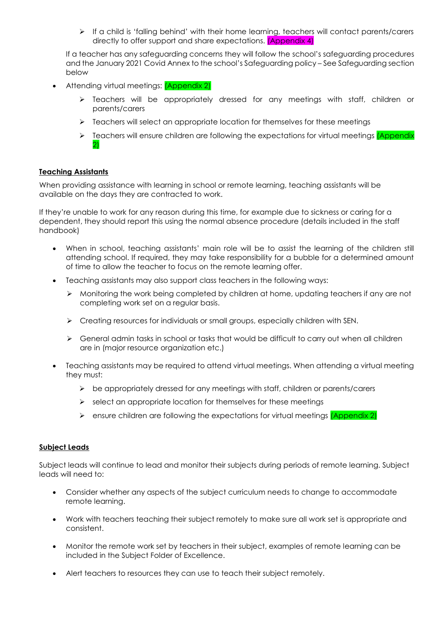$\triangleright$  If a child is 'falling behind' with their home learning, teachers will contact parents/carers directly to offer support and share expectations. **(Appendix 4)** 

If a teacher has any safeguarding concerns they will follow the school's safeguarding procedures and the January 2021 Covid Annex to the school's Safeguarding policy – See Safeguarding section below

- Attending virtual meetings: **(Appendix 2)** 
	- $\triangleright$  Teachers will be appropriately dressed for any meetings with staff, children or parents/carers
	- Feachers will select an appropriate location for themselves for these meetings
	- Feachers will ensure children are following the expectations for virtual meetings  $\overline{Appendix}$ 2)

#### **Teaching Assistants**

When providing assistance with learning in school or remote learning, teaching assistants will be available on the days they are contracted to work.

If they're unable to work for any reason during this time, for example due to sickness or caring for a dependent, they should report this using the normal absence procedure (details included in the staff handbook)

- When in school, teaching assistants' main role will be to assist the learning of the children still attending school. If required, they may take responsibility for a bubble for a determined amount of time to allow the teacher to focus on the remote learning offer.
- Teaching assistants may also support class teachers in the following ways:
	- $\triangleright$  Monitoring the work being completed by children at home, updating teachers if any are not completing work set on a regular basis.
	- $\triangleright$  Creating resources for individuals or small groups, especially children with SEN.
	- $\triangleright$  General admin tasks in school or tasks that would be difficult to carry out when all children are in (major resource organization etc.)
- Teaching assistants may be required to attend virtual meetings. When attending a virtual meeting they must:
	- $\triangleright$  be appropriately dressed for any meetings with staff, children or parents/carers
	- $\triangleright$  select an appropriate location for themselves for these meetings
	- $\triangleright$  ensure children are following the expectations for virtual meetings *(Appendix 2)*

#### **Subject Leads**

Subject leads will continue to lead and monitor their subjects during periods of remote learning. Subject leads will need to:

- Consider whether any aspects of the subject curriculum needs to change to accommodate remote learning.
- Work with teachers teaching their subject remotely to make sure all work set is appropriate and consistent.
- Monitor the remote work set by teachers in their subject, examples of remote learning can be included in the Subject Folder of Excellence.
- Alert teachers to resources they can use to teach their subject remotely.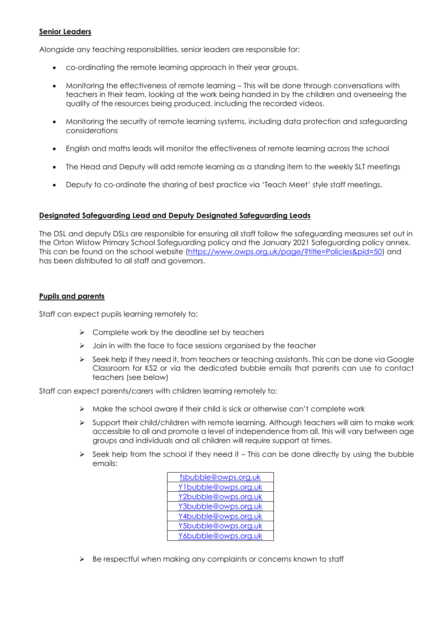#### **Senior Leaders**

Alongside any teaching responsibilities, senior leaders are responsible for:

- co-ordinating the remote learning approach in their year groups.
- Monitoring the effectiveness of remote learning This will be done through conversations with teachers in their team, looking at the work being handed in by the children and overseeing the quality of the resources being produced, including the recorded videos.
- Monitoring the security of remote learning systems, including data protection and safeguarding considerations
- English and maths leads will monitor the effectiveness of remote learning across the school
- The Head and Deputy will add remote learning as a standing item to the weekly SLT meetings
- Deputy to co-ordinate the sharing of best practice via 'Teach Meet' style staff meetings.

#### **Designated Safeguarding Lead and Deputy Designated Safeguarding Leads**

The DSL and deputy DSLs are responsible for ensuring all staff follow the safeguarding measures set out in the Orton Wistow Primary School Safeguarding policy and the January 2021 Safeguarding policy annex. This can be found on the school website [\(https://www.owps.org.uk/page/?title=Policies&pid=50\)](https://www.owps.org.uk/page/?title=Policies&pid=50) and has been distributed to all staff and governors.

#### **Pupils and parents**

Staff can expect pupils learning remotely to:

- $\triangleright$  Complete work by the deadline set by teachers
- $\triangleright$  Join in with the face to face sessions organised by the teacher
- $\triangleright$  Seek help if they need it, from teachers or teaching assistants. This can be done via Google Classroom for KS2 or via the dedicated bubble emails that parents can use to contact teachers (see below)

Staff can expect parents/carers with children learning remotely to:

- $\triangleright$  Make the school aware if their child is sick or otherwise can't complete work
- $\triangleright$  Support their child/children with remote learning. Although teachers will aim to make work accessible to all and promote a level of independence from all, this will vary between age groups and individuals and all children will require support at times.
- $\triangleright$  Seek help from the school if they need it This can be done directly by using the bubble emails:



 $\triangleright$  Be respectful when making any complaints or concerns known to staff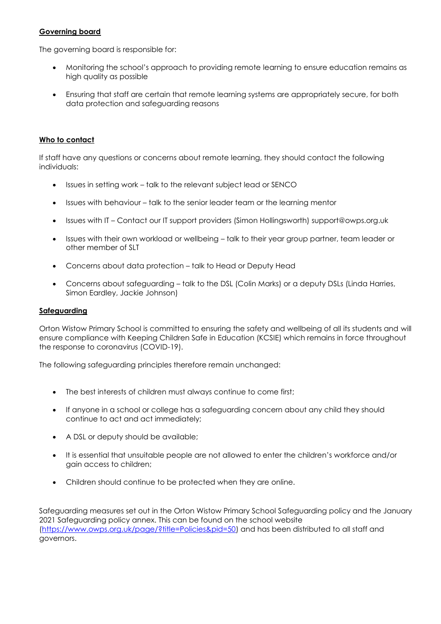#### **Governing board**

The governing board is responsible for:

- Monitoring the school's approach to providing remote learning to ensure education remains as high quality as possible
- Ensuring that staff are certain that remote learning systems are appropriately secure, for both data protection and safeguarding reasons

#### **Who to contact**

If staff have any questions or concerns about remote learning, they should contact the following individuals:

- Issues in setting work talk to the relevant subject lead or SENCO
- Issues with behaviour talk to the senior leader team or the learning mentor
- Issues with IT Contact our IT support providers (Simon Hollingsworth) [support@owps.org.uk](mailto:support@owps.org.uk)
- Issues with their own workload or wellbeing talk to their year group partner, team leader or other member of SLT
- Concerns about data protection talk to Head or Deputy Head
- Concerns about safeguarding talk to the DSL (Colin Marks) or a deputy DSLs (Linda Harries, Simon Eardley, Jackie Johnson)

#### **Safeguarding**

Orton Wistow Primary School is committed to ensuring the safety and wellbeing of all its students and will ensure compliance with Keeping Children Safe in Education (KCSIE) which remains in force throughout the response to coronavirus (COVID-19).

The following safeguarding principles therefore remain unchanged:

- The best interests of children must always continue to come first;
- If anyone in a school or college has a safeguarding concern about any child they should continue to act and act immediately;
- A DSL or deputy should be available;
- It is essential that unsuitable people are not allowed to enter the children's workforce and/or gain access to children;
- Children should continue to be protected when they are online.

 Safeguarding measures set out in the Orton Wistow Primary School Safeguarding policy and the January 2021 Safeguarding policy annex. This can be found on the school website [\(https://www.owps.org.uk/page/?title=Policies&pid=50\)](https://www.owps.org.uk/page/?title=Policies&pid=50) and has been distributed to all staff and governors.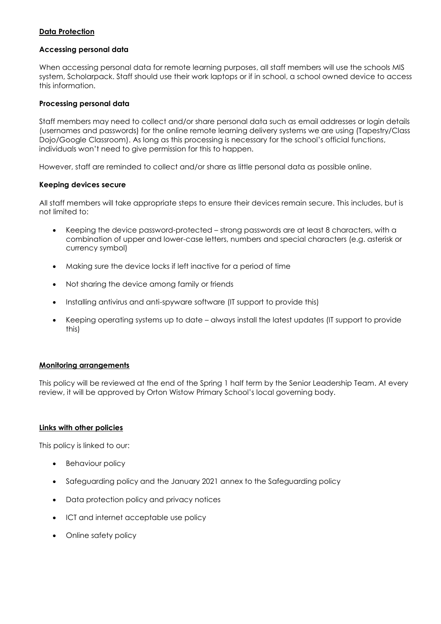#### **Data Protection**

#### **Accessing personal data**

When accessing personal data for remote learning purposes, all staff members will use the schools MIS system, Scholarpack. Staff should use their work laptops or if in school, a school owned device to access this information.

#### **Processing personal data**

Staff members may need to collect and/or share personal data such as email addresses or login details (usernames and passwords) for the online remote learning delivery systems we are using (Tapestry/Class Dojo/Google Classroom). As long as this processing is necessary for the school's official functions, individuals won't need to give permission for this to happen.

However, staff are reminded to collect and/or share as little personal data as possible online.

#### **Keeping devices secure**

All staff members will take appropriate steps to ensure their devices remain secure. This includes, but is not limited to:

- Keeping the device password-protected strong passwords are at least 8 characters, with a combination of upper and lower-case letters, numbers and special characters (e.g. asterisk or currency symbol)
- Making sure the device locks if left inactive for a period of time
- Not sharing the device among family or friends
- Installing antivirus and anti-spyware software (IT support to provide this)
- Keeping operating systems up to date always install the latest updates (IT support to provide this)

#### **Monitoring arrangements**

This policy will be reviewed at the end of the Spring 1 half term by the Senior Leadership Team. At every review, it will be approved by Orton Wistow Primary School's local governing body.

#### **Links with other policies**

This policy is linked to our:

- Behaviour policy
- Safeguarding policy and the January 2021 annex to the Safeguarding policy
- Data protection policy and privacy notices
- ICT and internet acceptable use policy
- Online safety policy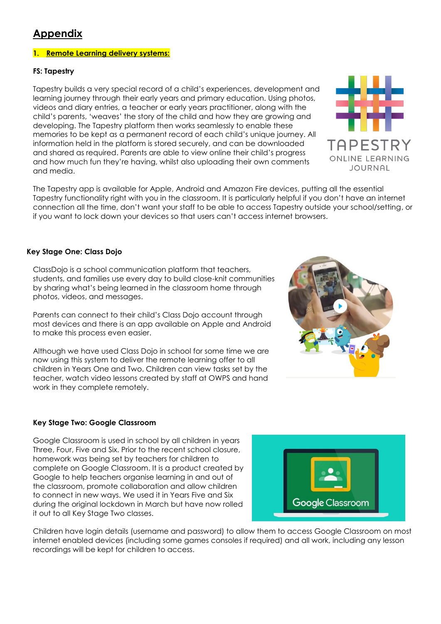### **Appendix**

#### **1. Remote Learning delivery systems:**

#### **FS: Tapestry**

Tapestry builds a very special record of a child's experiences, development and learning journey through their early years and primary education. Using photos, videos and diary entries, a teacher or early years practitioner, along with the child's parents, 'weaves' the story of the child and how they are growing and developing. The Tapestry platform then works seamlessly to enable these memories to be kept as a permanent record of each child's unique journey. All information held in the platform is stored securely, and can be downloaded and shared as required. Parents are able to view online their child's progress and how much fun they're having, whilst also uploading their own comments and media.

The Tapestry app is available for Apple, Android and Amazon Fire devices, putting all the essential Tapestry functionality right with you in the classroom. It is particularly helpful if you don't have an internet connection all the time, don't want your staff to be able to access Tapestry outside your school/setting, or if you want to lock down your devices so that users can't access internet browsers.

#### **Key Stage One: Class Dojo**

ClassDojo is a school communication platform that teachers, students, and families use every day to build close-knit communities by sharing what's being learned in the classroom home through photos, videos, and messages.

Parents can connect to their child's Class Dojo account through most devices and there is an app available on Apple and Android to make this process even easier.

Although we have used Class Dojo in school for some time we are now using this system to deliver the remote learning offer to all children in Years One and Two. Children can view tasks set by the teacher, watch video lessons created by staff at OWPS and hand work in they complete remotely.

#### **Key Stage Two: Google Classroom**

Google Classroom is used in school by all children in years Three, Four, Five and Six. Prior to the recent school closure, homework was being set by teachers for children to complete on Google Classroom. It is a product created by Google to help teachers organise learning in and out of the classroom, promote collaboration and allow children to connect in new ways. We used it in Years Five and Six during the original lockdown in March but have now rolled it out to all Key Stage Two classes.

Children have login details (username and password) to allow them to access Google Classroom on most internet enabled devices (including some games consoles if required) and all work, including any lesson recordings will be kept for children to access.





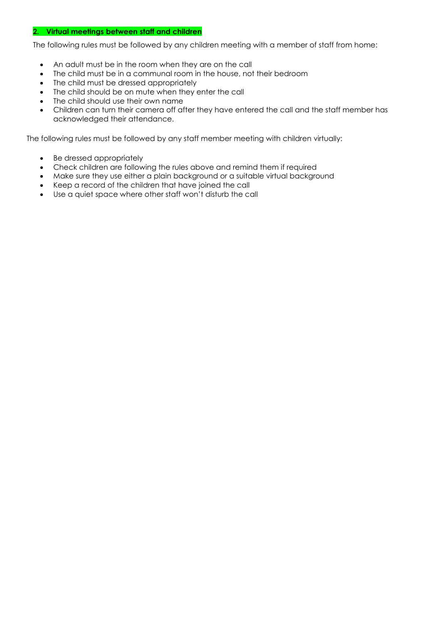#### **2. Virtual meetings between staff and children**

The following rules must be followed by any children meeting with a member of staff from home:

- An adult must be in the room when they are on the call
- The child must be in a communal room in the house, not their bedroom
- The child must be dressed appropriately
- The child should be on mute when they enter the call
- The child should use their own name
- Children can turn their camera off after they have entered the call and the staff member has acknowledged their attendance.

The following rules must be followed by any staff member meeting with children virtually:

- Be dressed appropriately
- Check children are following the rules above and remind them if required
- Make sure they use either a plain background or a suitable virtual background
- Keep a record of the children that have joined the call
- Use a quiet space where other staff won't disturb the call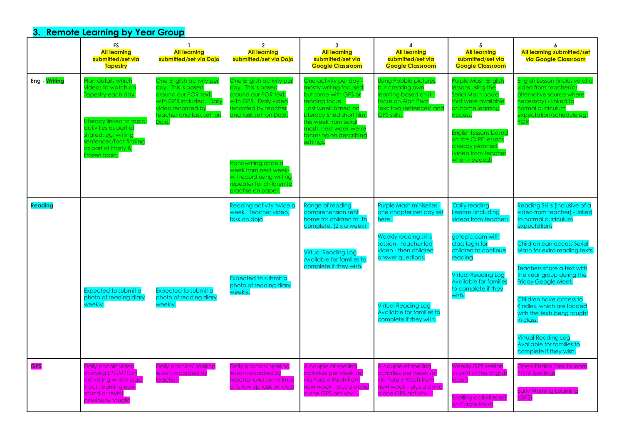## **3. Remote Learning by Year Group**

|                | <b>FS</b><br><b>All learning</b><br>submitted/set via<br><b>Tapestry</b>                                                                                                                                         | $\mathbf{1}$<br><b>All learning</b><br>submitted/set via Dojo                                                                                               | $\overline{2}$<br><b>All learning</b><br>submitted/set via Dojo                                                                                                                                                                                                              | 3<br><b>All learning</b><br>submitted/set via<br><b>Google Classroom</b>                                                                                                                                                              | 4<br><b>All learning</b><br>submitted/set via<br><b>Google Classroom</b>                                                                  | 5<br><b>All learning</b><br>submitted/set via<br><b>Google Classroom</b>                                                                                                                                                                     | 6<br>All learning submitted/set<br>via Google Classroom                                                                                                                            |
|----------------|------------------------------------------------------------------------------------------------------------------------------------------------------------------------------------------------------------------|-------------------------------------------------------------------------------------------------------------------------------------------------------------|------------------------------------------------------------------------------------------------------------------------------------------------------------------------------------------------------------------------------------------------------------------------------|---------------------------------------------------------------------------------------------------------------------------------------------------------------------------------------------------------------------------------------|-------------------------------------------------------------------------------------------------------------------------------------------|----------------------------------------------------------------------------------------------------------------------------------------------------------------------------------------------------------------------------------------------|------------------------------------------------------------------------------------------------------------------------------------------------------------------------------------|
| Eng - Writing  | lan details which<br><i>r</i> ideos to watch on<br>iapestry each day<br>iteracy linked to topic.<br>activities as part of<br>shared, eg; writing<br>entences/fact finding<br>as part of Frosty &<br>rozen topic. | One English activity per<br>day. This is based<br>around our POR text,<br>with GPS included. Daily<br>video recorded by<br>teacher and task set on<br>Dojo. | One English activity per<br>day. This is based<br>around our POR text,<br>with GPS. Daily video<br>recorded by teacher<br>and task set on Dojo.<br>Handwriting once a<br>week from next week-<br>will record using writing<br>repeater for children to<br>practise on paper. | One activity per day<br>mostly writing focused<br>but some with GPS or<br>readina focus.<br>Last week based on<br>Literacy Shed short film,<br>this week from serial<br>mash, next week we're<br>focussing on describing<br>settings. | <b>Using Pobble pictures</b><br>but creating own<br>learning based on it -<br>ocus on Alan Peat<br>exciting sentences' and<br>GPS skills. | <b>Purple Mash English</b><br>lessons using the<br>Serial Mash books<br>that were available<br>on home learning<br>access.<br><b>English lessons based</b><br>on the CLPE lessons<br>already planned.<br>(video from teacher<br>when needed) | English Lesson (inclusive of a<br><i>i</i> deo from teacher/or<br>alternative source where<br>necessary) - linked to<br>normal curriculum<br>expectation/schedule eg:<br><b>OR</b> |
| <b>Reading</b> |                                                                                                                                                                                                                  |                                                                                                                                                             | Reading activity twice a<br>week. Teacher video,<br>task on dojo                                                                                                                                                                                                             | Range of reading<br>comprehension sent<br>home for children to to<br>complete. (2 x a week)                                                                                                                                           | Purple Mash miniseries -<br>one chapter per day set<br>here.<br>Weekly reading skills                                                     | Daily reading<br>Lessons (including<br>videos from teacher)<br>getepic.com with                                                                                                                                                              | Reading Skills (inclusive of a<br>video from teacher) - linked<br>to normal curriculum<br>expectations                                                                             |
|                |                                                                                                                                                                                                                  |                                                                                                                                                             |                                                                                                                                                                                                                                                                              | <b>Virtual Reading Log</b><br>Available for families to<br>complete if they wish.                                                                                                                                                     | session - teacher led<br>video - then children<br>answer questions.                                                                       | class loain for<br>children to continue<br>reading                                                                                                                                                                                           | Children can access Serial<br>Mash for extra reading texts.<br>Teachers share a text with                                                                                          |
|                | Expected to submit a<br>photo of reading diary                                                                                                                                                                   | Expected to submit a<br>photo of reading diary                                                                                                              | Expected to submit a<br>photo of reading diary<br>weekly.                                                                                                                                                                                                                    |                                                                                                                                                                                                                                       |                                                                                                                                           | <b>Virtual Reading Loa</b><br><b>Available for families</b><br>to complete if they<br>wish.                                                                                                                                                  | the year group during the<br>Friday Google Meet.<br>Children have access to                                                                                                        |
|                | weekly.                                                                                                                                                                                                          | weekly.                                                                                                                                                     |                                                                                                                                                                                                                                                                              |                                                                                                                                                                                                                                       | <b>Virtual Reading Loa</b><br>Available for families to<br>complete if they wish.                                                         |                                                                                                                                                                                                                                              | Kindles, which are loaded<br>with the texts beng taught<br>in class.                                                                                                               |
|                |                                                                                                                                                                                                                  |                                                                                                                                                             |                                                                                                                                                                                                                                                                              |                                                                                                                                                                                                                                       |                                                                                                                                           |                                                                                                                                                                                                                                              | <b>Virtual Reading Log</b><br>Available for families to<br>complete if they wish.                                                                                                  |
| <b>GPS</b>     | Daily phonic video<br>showing LP/JM/TOH<br>delivering whole class<br>input, learning new                                                                                                                         | Daily phonics/ spelling<br>lesson recorded by<br>teacher                                                                                                    | Daily phonics/ spelling<br>lesson recorded by<br>teacher and sometimes<br>a follow up task on dojo                                                                                                                                                                           | A couple of spelling<br>activities per week set<br>via Purple Mash from<br>next week - plus a stand                                                                                                                                   | A couple of spelling<br>activities per week set<br>via Purple Mash from<br>next week - plus a stand                                       | <b>Weekly GPS session</b><br>as part of the English<br>lesson                                                                                                                                                                                | Open-Ended Task to learn<br>Yr5/6 Spellings                                                                                                                                        |
|                | sound or revisit<br>previously taught                                                                                                                                                                            |                                                                                                                                                             |                                                                                                                                                                                                                                                                              | alone GPS activity.                                                                                                                                                                                                                   | alone GPS activity.                                                                                                                       | Spelling activities set<br>on Purple Mash                                                                                                                                                                                                    | <b>Early Morning Learning</b><br>(GPS)                                                                                                                                             |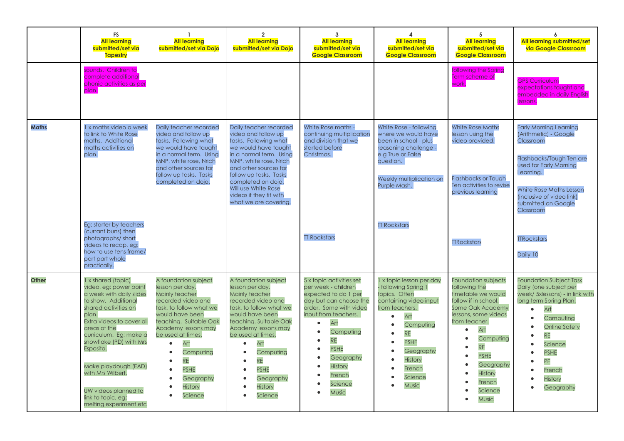|              | <b>FS</b><br><b>All learning</b><br>submitted/set via<br><b>Tapestry</b>                                                                                                                                                                                                                                                                                             | $\mathbf{1}$<br><b>All learning</b><br>submitted/set via Dojo                                                                                                                                                                                                                                                                                                               | $\overline{2}$<br><b>All learning</b><br>submitted/set via Dojo                                                                                                                                                                                                                                                                                                                                 | $\mathbf{3}$<br><b>All learning</b><br>submitted/set via<br><b>Google Classroom</b>                                                                                                                                                                              | 4<br><b>All learning</b><br>submitted/set via<br><b>Google Classroom</b>                                                                                                                                                                                                                                    | 5<br><b>All learning</b><br>submitted/set via<br><b>Google Classroom</b>                                                                                                                                                                                                                                   | 6<br><b>All learning submitted/set</b><br>via Google Classroom                                                                                                                                                                                                       |
|--------------|----------------------------------------------------------------------------------------------------------------------------------------------------------------------------------------------------------------------------------------------------------------------------------------------------------------------------------------------------------------------|-----------------------------------------------------------------------------------------------------------------------------------------------------------------------------------------------------------------------------------------------------------------------------------------------------------------------------------------------------------------------------|-------------------------------------------------------------------------------------------------------------------------------------------------------------------------------------------------------------------------------------------------------------------------------------------------------------------------------------------------------------------------------------------------|------------------------------------------------------------------------------------------------------------------------------------------------------------------------------------------------------------------------------------------------------------------|-------------------------------------------------------------------------------------------------------------------------------------------------------------------------------------------------------------------------------------------------------------------------------------------------------------|------------------------------------------------------------------------------------------------------------------------------------------------------------------------------------------------------------------------------------------------------------------------------------------------------------|----------------------------------------------------------------------------------------------------------------------------------------------------------------------------------------------------------------------------------------------------------------------|
|              | sounds. Children to<br>complete additional<br>phonic activities as per<br>plan.                                                                                                                                                                                                                                                                                      |                                                                                                                                                                                                                                                                                                                                                                             |                                                                                                                                                                                                                                                                                                                                                                                                 |                                                                                                                                                                                                                                                                  |                                                                                                                                                                                                                                                                                                             | following the Spring<br>Term scheme of<br>work.                                                                                                                                                                                                                                                            | <b>GPS Curriculum</b><br>expectations taught and<br>embedded in daily English<br>lessons.                                                                                                                                                                            |
| <b>Maths</b> | 1 x maths video a week<br>to link to White Rose<br>maths. Additional<br>maths activities on<br>plan.                                                                                                                                                                                                                                                                 | Daily teacher recorded<br>video and follow up<br>tasks. Following what<br>we would have taught<br>in a normal term. Using<br>MNP, white rose, Nrich<br>and other sources for<br>follow up tasks. Tasks<br>completed on dojo.                                                                                                                                                | Daily teacher recorded<br>video and follow up<br>tasks. Following what<br>we would have taught<br>in a normal term. Using<br>MNP, white rose, Nrich<br>and other sources for<br>follow up tasks. Tasks<br>completed on dojo.<br>Will use White Rose<br>videos if they fit with<br>what we are covering.                                                                                         | White Rose maths -<br>continuing multiplication<br>and division that we<br>started before<br>Christmas.                                                                                                                                                          | White Rose - following<br>where we would have<br>been in school - plus<br>reasoning challenge -<br>e.g True or False<br>question.<br>Weekly multiplication on<br>Purple Mash.                                                                                                                               | <b>White Rose Maths</b><br>lesson using the<br>video provided.<br><b>Flashbacks or Tough</b><br>Ten activities to revise<br>previous learning                                                                                                                                                              | <b>Early Morning Learning</b><br>(Arithmetic) - Google<br>Classroom<br>Flashbacks/Tough Ten are<br>used for Early Morning<br>Learning.<br><b>White Rose Maths Lesson</b><br>(inclusive of video link)<br>submitted on Google<br>Classroom                            |
|              | Eg; starter by teachers<br>(currant buns) then<br>photographs/short<br>videos to recap, eg;<br>how to use tens frame/<br>part part whole<br>practically.                                                                                                                                                                                                             |                                                                                                                                                                                                                                                                                                                                                                             |                                                                                                                                                                                                                                                                                                                                                                                                 | <b>TT Rockstars</b>                                                                                                                                                                                                                                              | <b>TT Rockstars</b>                                                                                                                                                                                                                                                                                         | <b>TTRockstars</b>                                                                                                                                                                                                                                                                                         | <b>TTRockstars</b><br>Daily 10                                                                                                                                                                                                                                       |
| <b>Other</b> | 1 x shared (topic)<br>video, eg; power point<br>a week with daily slides<br>to show. Additional<br>shared activities on<br>plan.<br>Extra videos to cover all<br>areas of the<br>curriculum. Eg; make a<br>snowflake (PD) with Mrs<br>Esposito.<br>Make playdough (EAD)<br>with Mrs Wilbert.<br>UW videos planned to<br>link to topic, eg;<br>melting experiment etc | A foundation subject<br>lesson per day.<br>Mainly teacher<br>recorded video and<br>task, to follow what we<br>would have been<br>teaching. Suitable Oak<br><b>Academy lessons may</b><br>be used at times.<br>Art<br>$\bullet$<br>Computing<br>$\bullet$<br><b>RE</b><br>$\bullet$<br><b>PSHE</b><br>$\bullet$<br>Geography<br>$\bullet$<br>History<br>$\bullet$<br>Science | A foundation subject<br>lesson per day.<br>Mainly teacher<br>recorded video and<br>task, to follow what we<br>would have been<br>teaching. Suitable Oak<br><b>Academy lessons may</b><br>be used at times.<br>Art<br>$\bullet$<br>Computing<br>$\bullet$<br><b>RE</b><br>$\bullet$<br><b>PSHE</b><br>$\bullet$<br>Geography<br>$\bullet$<br><b>History</b><br>$\bullet$<br>Science<br>$\bullet$ | 5 x topic activities set<br>per week - children<br>expected to do 1 per<br>day but can choose the<br>order. Some with video<br>input from teachers.<br>Art<br>Computing<br><b>RE</b><br><b>PSHE</b><br>Geography<br><b>History</b><br>French<br>Science<br>Music | x topic lesson per day<br>following Spring 1<br>topics. Often<br>containing video input<br>from teachers.<br>Art<br>$\bullet$<br>Computing<br>$\bullet$<br><b>RE</b><br>$\bullet$<br><b>PSHE</b><br>$\bullet$<br>Geography<br>$\bullet$<br>$\bullet$<br><b>History</b><br>French<br>Science<br><b>Music</b> | <b>Foundation subjects</b><br>following the<br>timetable we would<br>follow if in school.<br>Some Oak Academy<br>lessons, some videos<br>from teacher.<br>Art<br>$\bullet$<br>Computing<br><b>RE</b><br><b>PSHE</b><br>$\bullet$<br>Geography<br>$\bullet$<br><b>History</b><br>French<br>Science<br>Music | <b>Foundation Subject Task</b><br>Daily (one subject per<br>week/ 5xlessons) - in link with<br>long term Spring Plan.<br>Art<br>$\bullet$<br>Computing<br><b>Online Safety</b><br><b>RE</b><br>Science<br><b>PSHE</b><br>PE<br>French<br><b>History</b><br>Geography |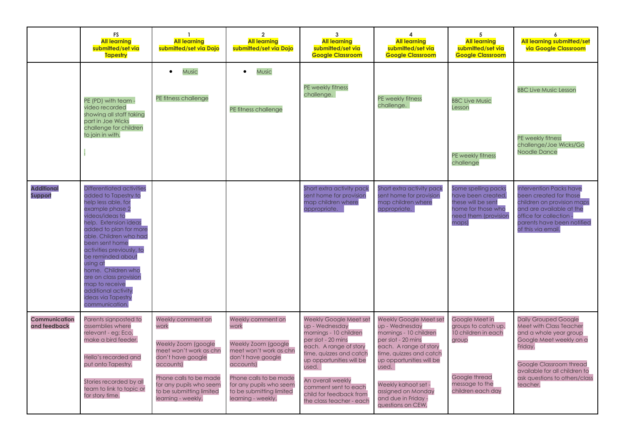|                                      | <b>FS</b><br><b>All learning</b><br>submitted/set via<br><b>Tapestry</b>                                                                                                                                                                                                                                                                                                                                     | $\mathbf{1}$<br><b>All learning</b><br>submitted/set via Dojo                                                                                                                                                        | $\overline{2}$<br><b>All learning</b><br>submitted/set via Dojo                                                                                                                                                     | 3<br><b>All learning</b><br>submitted/set via<br><b>Google Classroom</b>                                                                                                                                                                                                                      | 4<br><b>All learning</b><br>submitted/set via<br><b>Google Classroom</b>                                                                                                                                                                                                    | 5<br><b>All learning</b><br>submitted/set via<br><b>Google Classroom</b>                                                      | 6<br><b>All learning submitted/set</b><br>via Google Classroom                                                                                                                                                                                |
|--------------------------------------|--------------------------------------------------------------------------------------------------------------------------------------------------------------------------------------------------------------------------------------------------------------------------------------------------------------------------------------------------------------------------------------------------------------|----------------------------------------------------------------------------------------------------------------------------------------------------------------------------------------------------------------------|---------------------------------------------------------------------------------------------------------------------------------------------------------------------------------------------------------------------|-----------------------------------------------------------------------------------------------------------------------------------------------------------------------------------------------------------------------------------------------------------------------------------------------|-----------------------------------------------------------------------------------------------------------------------------------------------------------------------------------------------------------------------------------------------------------------------------|-------------------------------------------------------------------------------------------------------------------------------|-----------------------------------------------------------------------------------------------------------------------------------------------------------------------------------------------------------------------------------------------|
|                                      | PE (PD) with team -<br>video recorded<br>showing all staff taking<br>part in Joe Wicks<br>challenge for children<br>to join in with.                                                                                                                                                                                                                                                                         | Music<br>$\bullet$<br>PE fitness challenge                                                                                                                                                                           | <b>Music</b><br>$\bullet$<br>PE fitness challenge                                                                                                                                                                   | PE weekly fitness<br>challenge.                                                                                                                                                                                                                                                               | PE weekly fitness<br>challenge.                                                                                                                                                                                                                                             | <b>BBC Live Music</b><br>Lesson                                                                                               | <b>BBC Live Music Lesson</b><br>PE weekly fitness                                                                                                                                                                                             |
|                                      |                                                                                                                                                                                                                                                                                                                                                                                                              |                                                                                                                                                                                                                      |                                                                                                                                                                                                                     |                                                                                                                                                                                                                                                                                               |                                                                                                                                                                                                                                                                             | PE weekly fitness<br>challenae                                                                                                | challenge/Joe Wicks/Go<br><b>Noodle Dance</b>                                                                                                                                                                                                 |
| <b>Additional</b><br><b>Support</b>  | Differentiated activities<br>added to Tapestry to<br>help less able, for<br>example phase 2<br>videos/ideas to<br>help. Extension ideas<br>added to plan for more<br>able. Children who had<br>been sent home<br>activities previously, to<br>be reminded about<br>usina at<br>home. Children who<br>are on class provision<br>map to receive<br>additional activity<br>ideas via Tapestry<br>communication. |                                                                                                                                                                                                                      |                                                                                                                                                                                                                     | Short extra activity pack<br>sent home for provision<br>map children where<br>appropriate.                                                                                                                                                                                                    | Short extra activity pack<br>sent home for provision<br>map children where<br>appropriate.                                                                                                                                                                                  | Some spelling packs<br>have been created,<br>these will be sent<br>home for those who<br>need them (provision<br>maps)        | <b>Intervention Packs have</b><br>been created for those<br>children on provision maps<br>and are available at the<br>office for collection -<br>parents have been notified<br>of this via email.                                             |
| <b>Communication</b><br>and feedback | Parents signposted to<br>assemblies where<br>relevant - eg; Eco,<br>make a bird feeder.<br>Hello's recorded and<br>put onto Tapestry.<br>Stories recorded by all<br>team to link to topic or<br>for story time.                                                                                                                                                                                              | Weekly comment on<br>work<br>Weekly Zoom (google)<br>meet won't work as chn<br>don't have google<br>accounts)<br>Phone calls to be made<br>for any pupils who seem<br>to be submitting limited<br>learning - weekly. | Weekly comment on<br>work<br>Weekly Zoom (google<br>meet won't work as chn<br>don't have google<br>accounts)<br>Phone calls to be made<br>for any pupils who seem<br>to be submitting limited<br>learning - weekly. | <b>Weekly Google Meet set</b><br>up - Wednesday<br>mornings - 10 children<br>per slot - 20 mins<br>each. A range of story<br>time, quizzes and catch<br>up opportunities will be<br>used.<br>An overall weekly<br>comment sent to each<br>child for feedback from<br>the class teacher - each | Weekly Google Meet set<br>up - Wednesday<br>mornings - 10 children<br>per slot - 20 mins<br>each. A range of story<br>time, quizzes and catch<br>up opportunities will be<br>used.<br>Weekly kahoot set -<br>assigned on Monday<br>and due in Friday -<br>questions on CEW, | Google Meet in<br>groups to catch up.<br>10 children in each<br>group<br>Google thread<br>message to the<br>children each day | <b>Daily Grouped Google</b><br><b>Meet with Class Teacher</b><br>and a whole year group<br>Google Meet weekly on a<br>Friday.<br><b>Google Classroom thread</b><br>available for all children to<br>ask questions to others/class<br>teacher. |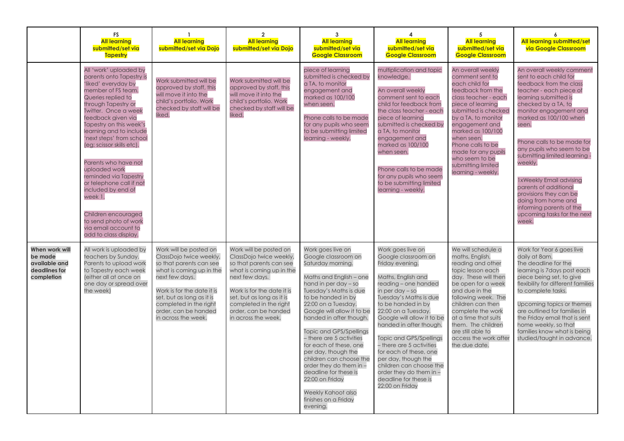|                                                                           | <b>FS</b><br><b>All learning</b><br>submitted/set via<br><b>Tapestry</b>                                                                                                                                                                                                                                                                                                                                                                                                                                                                         | <b>All learning</b><br>submitted/set via Dojo                                                                                                                                                                                                                  | $\overline{\mathbf{2}}$<br><b>All learning</b><br>submitted/set via Dojo                                                                                                                                                                                       | 3<br><b>All learning</b><br>submitted/set via<br><b>Google Classroom</b>                                                                                                                                                                                                                                                                                                                                                                                                                                             | <b>All learning</b><br>submitted/set via<br><b>Google Classroom</b>                                                                                                                                                                                                                                                                                                                                                                                                      | 5<br><b>All learning</b><br>submitted/set via<br><b>Google Classroom</b>                                                                                                                                                                                                                                                               | <b>All learning submitted/set</b><br>via Google Classroom                                                                                                                                                                                                                                                                                                                                                                                                                                                     |
|---------------------------------------------------------------------------|--------------------------------------------------------------------------------------------------------------------------------------------------------------------------------------------------------------------------------------------------------------------------------------------------------------------------------------------------------------------------------------------------------------------------------------------------------------------------------------------------------------------------------------------------|----------------------------------------------------------------------------------------------------------------------------------------------------------------------------------------------------------------------------------------------------------------|----------------------------------------------------------------------------------------------------------------------------------------------------------------------------------------------------------------------------------------------------------------|----------------------------------------------------------------------------------------------------------------------------------------------------------------------------------------------------------------------------------------------------------------------------------------------------------------------------------------------------------------------------------------------------------------------------------------------------------------------------------------------------------------------|--------------------------------------------------------------------------------------------------------------------------------------------------------------------------------------------------------------------------------------------------------------------------------------------------------------------------------------------------------------------------------------------------------------------------------------------------------------------------|----------------------------------------------------------------------------------------------------------------------------------------------------------------------------------------------------------------------------------------------------------------------------------------------------------------------------------------|---------------------------------------------------------------------------------------------------------------------------------------------------------------------------------------------------------------------------------------------------------------------------------------------------------------------------------------------------------------------------------------------------------------------------------------------------------------------------------------------------------------|
|                                                                           | All 'work' uploaded by<br>parents onto Tapestry is<br>'liked' everyday by<br>member of FS team.<br>Queries replied to<br>through Tapestry or<br><b>Twitter. Once a week</b><br>feedback aiven via<br>Tapestry on this week's<br>learning and to include<br>'next steps' from school<br>(eg; scissor skills etc).<br>Parents who have not<br>uploaded work<br>reminded via Tapestry<br>or telephone call if not<br>included by end of<br>week 1.<br>Children encouraged<br>to send photo of work<br>via email account to<br>add to class display. | Work submitted will be<br>approved by staff, this<br>will move it into the<br>child's portfolio. Work<br>checked by staff will be<br>liked.                                                                                                                    | Work submitted will be<br>approved by staff, this<br>will move it into the<br>child's portfolio. Work<br>checked by staff will be<br>liked.                                                                                                                    | piece of learning<br>submitted is checked by<br>a TA, to monitor<br>engagement and<br>marked as 100/100<br>when seen.<br>Phone calls to be made<br>for any pupils who seem<br>to be submitting limited<br>learning - weekly.                                                                                                                                                                                                                                                                                         | multiplication and topic<br>knowledge.<br>An overall weekly<br>comment sent to each<br>child for feedback from<br>the class teacher - each<br>piece of learning<br>submitted is checked by<br>a TA, to monitor<br>engagement and<br>marked as 100/100<br>when seen.<br>Phone calls to be made<br>for any pupils who seem<br>to be submitting limited<br>learning - weekly.                                                                                               | An overall weekly<br>comment sent to<br>each child for<br>feedback from the<br>class teacher - each<br>piece of learning<br>submitted is checked<br>by a TA, to monitor<br>engagement and<br>marked as 100/100<br>when seen.<br>Phone calls to be<br>made for any pupils<br>who seem to be<br>submitting limited<br>learning - weekly. | An overall weekly comment<br>sent to each child for<br>feedback from the class<br>teacher - each piece of<br>learning submitted is<br>checked by a TA, to<br>monitor engagement and<br>marked as 100/100 when<br>seen.<br>Phone calls to be made for<br>any pupils who seem to be<br>submitting limited learning -<br>weekly.<br><b>1xWeekly Email advising</b><br>parents of additional<br>provisions they can be<br>doing from home and<br>informing parents of the<br>upcoming tasks for the next<br>week. |
| When work will<br>be made<br>available and<br>deadlines for<br>completion | All work is uploaded by<br>teachers by Sunday.<br>Parents to upload work<br>to Tapestry each week<br>(either all at once on<br>one day or spread over<br>the week)                                                                                                                                                                                                                                                                                                                                                                               | Work will be posted on<br>ClassDojo twice weekly,<br>so that parents can see<br>what is coming up in the<br>next few days.<br>Work is for the date it is<br>set, but as long as it is<br>completed in the right<br>order, can be handed<br>in across the week. | Work will be posted on<br>ClassDojo twice weekly,<br>so that parents can see<br>what is coming up in the<br>next few days.<br>Work is for the date it is<br>set, but as long as it is<br>completed in the right<br>order, can be handed<br>in across the week. | Work goes live on<br>Google classroom on<br>Saturday morning.<br>Maths and English - one<br>hand in per day - so<br>Tuesday's Maths is due<br>to be handed in by<br>22:00 on a Tuesday.<br>Google will allow it to be<br>handed in after though.<br>Topic and GPS/Spellings<br>- there are 5 activities<br>for each of these, one<br>per day, though the<br>children can choose the<br>order they do them in -<br>deadline for these is<br>22:00 on Friday<br>Weekly Kahoot also<br>finishes on a Friday<br>evening. | Work goes live on<br>Google classroom on<br>Friday evening.<br>Maths, English and<br>reading - one handed<br>in per day $-$ so<br>Tuesday's Maths is due<br>to be handed in by<br>22:00 on a Tuesday.<br>Google will allow it to be<br>handed in after though.<br>Topic and GPS/Spellings<br>- there are 5 activities<br>for each of these, one<br>per day, though the<br>children can choose the<br>order they do them in -<br>deadline for these is<br>22:00 on Friday | We will schedule a<br>maths, English,<br>reading and other<br>topic lesson each<br>day. These will then<br>be open for a week<br>and due in the<br>following week. The<br>children can then<br>complete the work<br>at a time that suits<br>them. The children<br>are still able to<br>access the work after<br>the due date.          | Work for Year 6 goes live<br>daily at 8am.<br>The deadline for the<br>learning is 7 days post each<br>piece being set, to give<br>flexibility for different families<br>to complete tasks.<br>Upcoming topics or themes<br>are outlined for families in<br>the Friday email that is sent<br>home weekly, so that<br>families know what is being<br>studied/taught in advance.                                                                                                                                 |